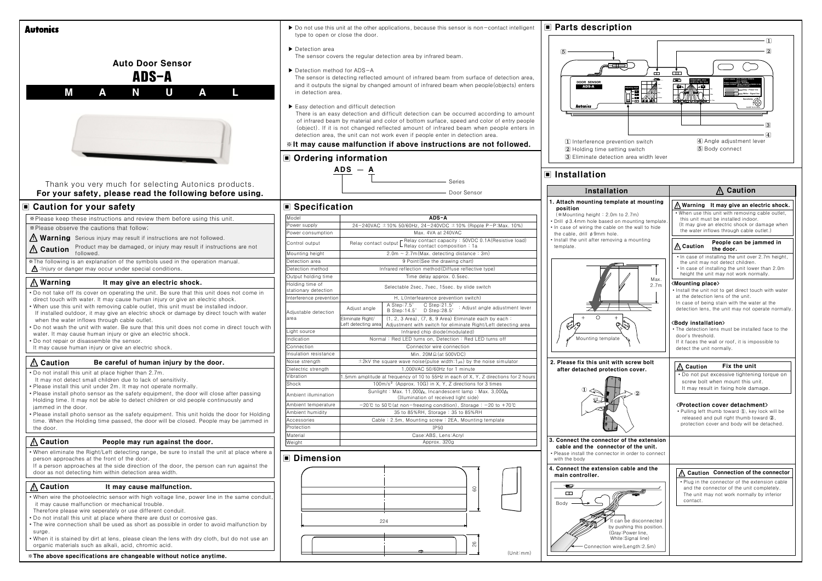| <b>Autonics</b>                                                                                                                                                                                                                                                   | type to open or close the door.                                        | ▶ Do not use this unit at the other applications, because this sensor is non-contact intelligent                                                                                                                                                                                                                                                                                                                                                                                                                                                                                                                                                                                                                                            | ■ Parts descript                                                                        |
|-------------------------------------------------------------------------------------------------------------------------------------------------------------------------------------------------------------------------------------------------------------------|------------------------------------------------------------------------|---------------------------------------------------------------------------------------------------------------------------------------------------------------------------------------------------------------------------------------------------------------------------------------------------------------------------------------------------------------------------------------------------------------------------------------------------------------------------------------------------------------------------------------------------------------------------------------------------------------------------------------------------------------------------------------------------------------------------------------------|-----------------------------------------------------------------------------------------|
| <b>Auto Door Sensor</b><br>ADS-A<br>M<br>U<br>Ν<br>A<br>L<br>A                                                                                                                                                                                                    | ▶ Detection area<br>▶ Detection method for ADS-A<br>in detection area. | The sensor covers the regular detection area by infrared beam.<br>The sensor is detecting reflected amount of infrared beam from surface of detection area,<br>and it outputs the signal by changed amount of infrared beam when people (objects) enters<br>Easy detection and difficult detection<br>There is an easy detection and difficult detection can be occurred according to amount<br>of infrared beam by material and color of bottom surface, speed and color of entry people<br>(object). If it is not changed reflected amount of infrared beam when people enters in<br>detection area, the unit can not work even if people enter in detection area.<br>** It may cause malfunction if above instructions are not followed. | <b>DOOR SENSOR</b><br>ADS-A<br>Autonics<br>1 Interference prev<br>[2] Holding time sett |
|                                                                                                                                                                                                                                                                   | ■ Ordering information                                                 |                                                                                                                                                                                                                                                                                                                                                                                                                                                                                                                                                                                                                                                                                                                                             | 3 Eliminate detection                                                                   |
|                                                                                                                                                                                                                                                                   |                                                                        | $ADS - A$                                                                                                                                                                                                                                                                                                                                                                                                                                                                                                                                                                                                                                                                                                                                   |                                                                                         |
|                                                                                                                                                                                                                                                                   |                                                                        | Series                                                                                                                                                                                                                                                                                                                                                                                                                                                                                                                                                                                                                                                                                                                                      | ■ Installation                                                                          |
| Thank you very much for selecting Autonics products.<br>For your safety, please read the following before using.                                                                                                                                                  |                                                                        | Door Sensor                                                                                                                                                                                                                                                                                                                                                                                                                                                                                                                                                                                                                                                                                                                                 | Installati                                                                              |
|                                                                                                                                                                                                                                                                   |                                                                        |                                                                                                                                                                                                                                                                                                                                                                                                                                                                                                                                                                                                                                                                                                                                             | 1. Attach mounting temp                                                                 |
| ■ Caution for your safety                                                                                                                                                                                                                                         | ■ Specification                                                        |                                                                                                                                                                                                                                                                                                                                                                                                                                                                                                                                                                                                                                                                                                                                             | position                                                                                |
| *Please keep these instructions and review them before using this unit.                                                                                                                                                                                           | Model                                                                  | ADS-A                                                                                                                                                                                                                                                                                                                                                                                                                                                                                                                                                                                                                                                                                                                                       | (*Mounting height: 2.0m)<br>· Drill ø 3.4mm hole based o                                |
| *Please observe the cautions that follow;                                                                                                                                                                                                                         | Power supply<br>Power consumption                                      | 24-240VAC $\pm$ 10% 50/60Hz, 24-240VDC $\pm$ 10% (Ripple P-P:Max. 10%)<br>Max. 4VA at 240VAC                                                                                                                                                                                                                                                                                                                                                                                                                                                                                                                                                                                                                                                | • In case of wiring the cable<br>the cable, drill ø 9mm hole.                           |
| <b>Narning</b> Serious injury may result if instructions are not followed.                                                                                                                                                                                        | Control output                                                         | - Relay contact capacity: 50VDC 0.1A (Resistive load)                                                                                                                                                                                                                                                                                                                                                                                                                                                                                                                                                                                                                                                                                       | · Install the unit after removir                                                        |
| Product may be damaged, or injury may result if instructions are not<br>$\triangle$ Caution<br>followed.                                                                                                                                                          |                                                                        | Relay contact output   Indian contact composition : 1a                                                                                                                                                                                                                                                                                                                                                                                                                                                                                                                                                                                                                                                                                      | template.                                                                               |
| * The following is an explanation of the symbols used in the operation manual.                                                                                                                                                                                    | Mounting height<br>Detection area                                      | $2.0m \sim 2.7m$ (Max. detecting distance : 3m)<br>9 Point (See the drawing chart)                                                                                                                                                                                                                                                                                                                                                                                                                                                                                                                                                                                                                                                          |                                                                                         |
| $\Lambda$ : Injury or danger may occur under special conditions.                                                                                                                                                                                                  | Detection method                                                       | Infrared reflection method (Diffuse reflective type)                                                                                                                                                                                                                                                                                                                                                                                                                                                                                                                                                                                                                                                                                        |                                                                                         |
| $\bigwedge$ Warning<br>It may give an electric shock.                                                                                                                                                                                                             | Output holding time                                                    | Time delay approx. 0.5sec.                                                                                                                                                                                                                                                                                                                                                                                                                                                                                                                                                                                                                                                                                                                  |                                                                                         |
| • Do not take off its cover on operating the unit. Be sure that this unit does not come in                                                                                                                                                                        | Holding time of<br>stationary detection                                | Selectable 2sec, 7sec, 15sec, by slide switch                                                                                                                                                                                                                                                                                                                                                                                                                                                                                                                                                                                                                                                                                               |                                                                                         |
| direct touch with water. It may cause human injury or give an electric shock.<br>. When use this unit with removing cable outlet, this unit must be installed indoor.<br>If installed outdoor, it may give an electric shock or damage by direct touch with water | Interference prevention<br>Adjustable detection                        | H, L(Interfearence prevention switch)<br>A Step:7.5°<br>C Step:21.5 $^{\circ}$<br>: Adjust angle adjustment lever<br>Adjust angle<br>B Step:14.5° D Step:28.5°                                                                                                                                                                                                                                                                                                                                                                                                                                                                                                                                                                              |                                                                                         |
| when the water inflows through cable outlet.<br>• Do not wash the unit with water. Be sure that this unit does not come in direct touch with                                                                                                                      | area                                                                   | Eliminate Right/<br>$(1, 2, 3 \text{ Area})$ , $(7, 8, 9 \text{ Area})$ Eliminate each by each:<br>Left detecting area Adjustment with switch for eliminate Right/Left detecting area                                                                                                                                                                                                                                                                                                                                                                                                                                                                                                                                                       | みや                                                                                      |
| water. It may cause human injury or give an electric shock.                                                                                                                                                                                                       | Light source                                                           | Infrared chip diode (modulated)                                                                                                                                                                                                                                                                                                                                                                                                                                                                                                                                                                                                                                                                                                             |                                                                                         |
| • Do not repair or disassemble the sensor.                                                                                                                                                                                                                        | Indication<br>Connection                                               | Normal: Red LED turns on, Detection: Red LED turns off<br>Connector wire connection                                                                                                                                                                                                                                                                                                                                                                                                                                                                                                                                                                                                                                                         | Mounting template                                                                       |
| It may cause human injury or give an electric shock.                                                                                                                                                                                                              | Insulation resistance                                                  | Min. 20ΜΩ (at 500VDC)                                                                                                                                                                                                                                                                                                                                                                                                                                                                                                                                                                                                                                                                                                                       |                                                                                         |
| <b>△ Caution</b><br>Be careful of human injury by the door.                                                                                                                                                                                                       | Noise strength                                                         | $\pm$ 2kV the square wave noise(pulse width:1 $\mu$ s) by the noise simulator                                                                                                                                                                                                                                                                                                                                                                                                                                                                                                                                                                                                                                                               | 2. Please fix this unit wi                                                              |
| . Do not install this unit at place higher than 2.7m.                                                                                                                                                                                                             | Dielectric strength<br>Vibration                                       | 1,000VAC 50/60Hz for 1 minute<br>1.5mm amplitude at frequency of 10 to 55Hz in each of X, Y, Z directions for 2 hours                                                                                                                                                                                                                                                                                                                                                                                                                                                                                                                                                                                                                       | after detached protect                                                                  |
| It may not detect small children due to lack of sensitivity.<br>. Please install this unit under 2m. It may not operate normally.                                                                                                                                 | Shock                                                                  | 100m/s <sup>2</sup> (Approx. 10G) in X, Y, Z directions for 3 times                                                                                                                                                                                                                                                                                                                                                                                                                                                                                                                                                                                                                                                                         |                                                                                         |
| • Please install photo sensor as the safety equipment, the door will close after passing                                                                                                                                                                          | Ambient illumination                                                   | Sunlight: Max. 11,000/x, Incandescent lamp: Max. 3,000/x                                                                                                                                                                                                                                                                                                                                                                                                                                                                                                                                                                                                                                                                                    |                                                                                         |
| Holding time. It may not be able to detect children or old people continuously and                                                                                                                                                                                | Ambient temperature                                                    | (Illumination of received light side)<br>$-20^{\circ}$ C to 50 $\circ$ (at non-freezing condition), Storage: -20 to +70 $\circ$                                                                                                                                                                                                                                                                                                                                                                                                                                                                                                                                                                                                             |                                                                                         |
| jammed in the door.<br>• Please install photo sensor as the safety equipment. This unit holds the door for Holding                                                                                                                                                | Ambient humidity                                                       | 35 to 85%RH, Storage: 35 to 85%RH                                                                                                                                                                                                                                                                                                                                                                                                                                                                                                                                                                                                                                                                                                           |                                                                                         |
| time. When the Holding time passed, the door will be closed. People may be jammed in                                                                                                                                                                              | Accessories                                                            | Cable: 2.5m, Mounting screw: 2EA, Mounting template                                                                                                                                                                                                                                                                                                                                                                                                                                                                                                                                                                                                                                                                                         |                                                                                         |
| the door.                                                                                                                                                                                                                                                         | Protection<br>Material                                                 | <b>IP50</b><br>Case:ABS, Lens:Acryl                                                                                                                                                                                                                                                                                                                                                                                                                                                                                                                                                                                                                                                                                                         |                                                                                         |
| <b>A</b> Caution<br>People may run against the door.                                                                                                                                                                                                              | Weight                                                                 | Approx. 320g                                                                                                                                                                                                                                                                                                                                                                                                                                                                                                                                                                                                                                                                                                                                | 3. Connect the connector                                                                |
| . When eliminate the Right/Left detecting range, be sure to install the unit at place where a                                                                                                                                                                     |                                                                        |                                                                                                                                                                                                                                                                                                                                                                                                                                                                                                                                                                                                                                                                                                                                             | cable and the connect<br>· Please install the connector                                 |
| person approaches at the front of the door.<br>If a person approaches at the side direction of the door, the person can run against the<br>door as not detecting him within detection area width.                                                                 | <b>■ Dimension</b>                                                     |                                                                                                                                                                                                                                                                                                                                                                                                                                                                                                                                                                                                                                                                                                                                             | with the body<br>4. Connect the extension<br>main controller.                           |
| ∧ Caution<br>It may cause malfunction.                                                                                                                                                                                                                            |                                                                        |                                                                                                                                                                                                                                                                                                                                                                                                                                                                                                                                                                                                                                                                                                                                             | ا پیش                                                                                   |
| • When wire the photoelectric sensor with high voltage line, power line in the same conduit,                                                                                                                                                                      |                                                                        | 60                                                                                                                                                                                                                                                                                                                                                                                                                                                                                                                                                                                                                                                                                                                                          | $\Box$                                                                                  |
| it may cause malfunction or mechanical trouble.<br>Therefore please wire seperately or use different conduit.<br>• Do not install this unit at place where there are dust or corrosive gas.                                                                       |                                                                        |                                                                                                                                                                                                                                                                                                                                                                                                                                                                                                                                                                                                                                                                                                                                             | Body                                                                                    |
| • The wire connection shall be used as short as possible in order to avoid malfunction by                                                                                                                                                                         |                                                                        | 224                                                                                                                                                                                                                                                                                                                                                                                                                                                                                                                                                                                                                                                                                                                                         | by p                                                                                    |
| surge.<br>• When it is stained by dirt at lens, please clean the lens with dry cloth, but do not use an<br>organic materials such as alkali, acid, chromic acid.                                                                                                  |                                                                        | $26\,$                                                                                                                                                                                                                                                                                                                                                                                                                                                                                                                                                                                                                                                                                                                                      | (Gra<br>Whi<br>Connection wi                                                            |
| *The above specifications are changeable without notice anytime.                                                                                                                                                                                                  |                                                                        | (Unit:mm)                                                                                                                                                                                                                                                                                                                                                                                                                                                                                                                                                                                                                                                                                                                                   |                                                                                         |
|                                                                                                                                                                                                                                                                   |                                                                        |                                                                                                                                                                                                                                                                                                                                                                                                                                                                                                                                                                                                                                                                                                                                             |                                                                                         |